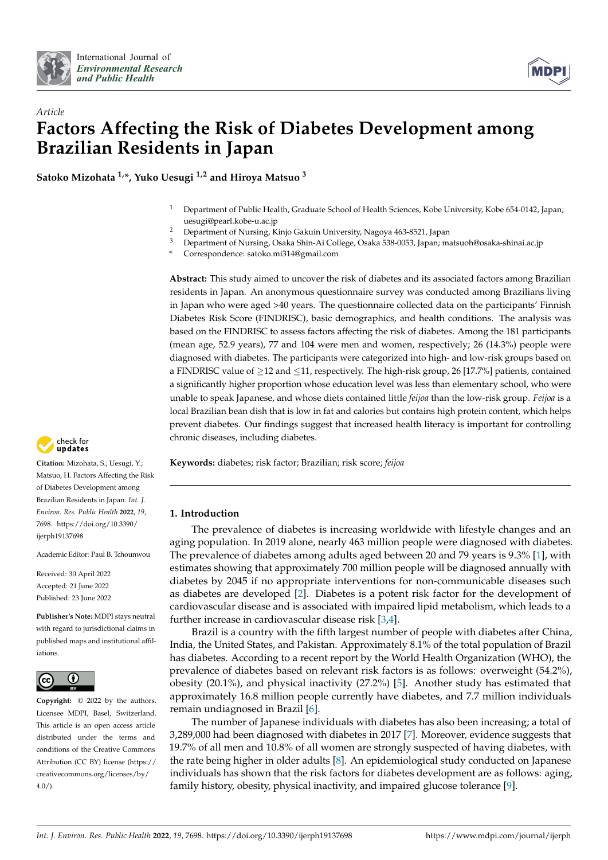



# *Article* **Factors Affecting the Risk of Diabetes Development among Brazilian Residents in Japan**

**Satoko Mizohata 1,\*, Yuko Uesugi 1,2 and Hiroya Matsuo <sup>3</sup>**

- <sup>1</sup> Department of Public Health, Graduate School of Health Sciences, Kobe University, Kobe 654-0142, Japan; uesugi@pearl.kobe-u.ac.jp
- <sup>2</sup> Department of Nursing, Kinjo Gakuin University, Nagoya 463-8521, Japan<br><sup>3</sup> Department of Nursing, Osaka Ship, Ai College Osaka 538,0053, Japan: m
- <sup>3</sup> Department of Nursing, Osaka Shin-Ai College, Osaka 538-0053, Japan; matsuoh@osaka-shinai.ac.jp
- **\*** Correspondence: satoko.mi314@gmail.com

**Abstract:** This study aimed to uncover the risk of diabetes and its associated factors among Brazilian residents in Japan. An anonymous questionnaire survey was conducted among Brazilians living in Japan who were aged >40 years. The questionnaire collected data on the participants' Finnish Diabetes Risk Score (FINDRISC), basic demographics, and health conditions. The analysis was based on the FINDRISC to assess factors affecting the risk of diabetes. Among the 181 participants (mean age, 52.9 years), 77 and 104 were men and women, respectively; 26 (14.3%) people were diagnosed with diabetes. The participants were categorized into high- and low-risk groups based on a FINDRISC value of  $\geq$ 12 and  $\leq$ 11, respectively. The high-risk group, 26 [17.7%] patients, contained a significantly higher proportion whose education level was less than elementary school, who were unable to speak Japanese, and whose diets contained little *feijoa* than the low-risk group. *Feijoa* is a local Brazilian bean dish that is low in fat and calories but contains high protein content, which helps prevent diabetes. Our findings suggest that increased health literacy is important for controlling chronic diseases, including diabetes.

**Keywords:** diabetes; risk factor; Brazilian; risk score; *feijoa*

## **1. Introduction**

The prevalence of diabetes is increasing worldwide with lifestyle changes and an aging population. In 2019 alone, nearly 463 million people were diagnosed with diabetes. The prevalence of diabetes among adults aged between 20 and 79 years is 9.3% [\[1\]](#page-9-0), with estimates showing that approximately 700 million people will be diagnosed annually with diabetes by 2045 if no appropriate interventions for non-communicable diseases such as diabetes are developed [\[2\]](#page-9-1). Diabetes is a potent risk factor for the development of cardiovascular disease and is associated with impaired lipid metabolism, which leads to a further increase in cardiovascular disease risk [\[3,](#page-9-2)[4\]](#page-9-3).

Brazil is a country with the fifth largest number of people with diabetes after China, India, the United States, and Pakistan. Approximately 8.1% of the total population of Brazil has diabetes. According to a recent report by the World Health Organization (WHO), the prevalence of diabetes based on relevant risk factors is as follows: overweight (54.2%), obesity (20.1%), and physical inactivity (27.2%) [\[5\]](#page-9-4). Another study has estimated that approximately 16.8 million people currently have diabetes, and 7.7 million individuals remain undiagnosed in Brazil [\[6\]](#page-9-5).

The number of Japanese individuals with diabetes has also been increasing; a total of 3,289,000 had been diagnosed with diabetes in 2017 [\[7\]](#page-9-6). Moreover, evidence suggests that 19.7% of all men and 10.8% of all women are strongly suspected of having diabetes, with the rate being higher in older adults [\[8\]](#page-9-7). An epidemiological study conducted on Japanese individuals has shown that the risk factors for diabetes development are as follows: aging, family history, obesity, physical inactivity, and impaired glucose tolerance [\[9\]](#page-9-8).



**Citation:** Mizohata, S.; Uesugi, Y.; Matsuo, H. Factors Affecting the Risk of Diabetes Development among Brazilian Residents in Japan. *Int. J. Environ. Res. Public Health* **2022**, *19*, 7698. [https://doi.org/10.3390/](https://doi.org/10.3390/ijerph19137698) [ijerph19137698](https://doi.org/10.3390/ijerph19137698)

Academic Editor: Paul B. Tchounwou

Received: 30 April 2022 Accepted: 21 June 2022 Published: 23 June 2022

**Publisher's Note:** MDPI stays neutral with regard to jurisdictional claims in published maps and institutional affiliations.



**Copyright:** © 2022 by the authors. Licensee MDPI, Basel, Switzerland. This article is an open access article distributed under the terms and conditions of the Creative Commons Attribution (CC BY) license [\(https://](https://creativecommons.org/licenses/by/4.0/) [creativecommons.org/licenses/by/](https://creativecommons.org/licenses/by/4.0/)  $4.0/$ ).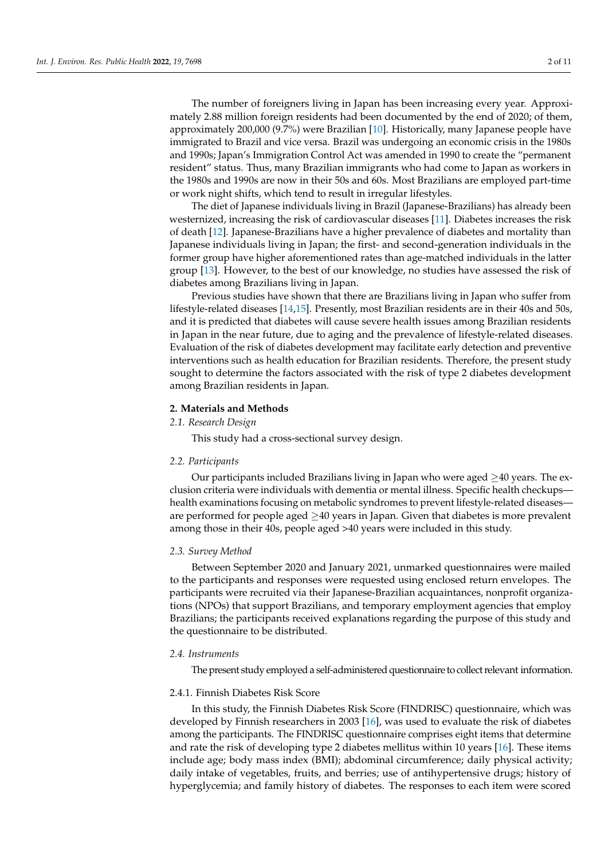The number of foreigners living in Japan has been increasing every year. Approximately 2.88 million foreign residents had been documented by the end of 2020; of them, approximately 200,000 (9.7%) were Brazilian [\[10\]](#page-9-9). Historically, many Japanese people have immigrated to Brazil and vice versa. Brazil was undergoing an economic crisis in the 1980s and 1990s; Japan's Immigration Control Act was amended in 1990 to create the "permanent resident" status. Thus, many Brazilian immigrants who had come to Japan as workers in the 1980s and 1990s are now in their 50s and 60s. Most Brazilians are employed part-time or work night shifts, which tend to result in irregular lifestyles.

The diet of Japanese individuals living in Brazil (Japanese-Brazilians) has already been westernized, increasing the risk of cardiovascular diseases [\[11\]](#page-9-10). Diabetes increases the risk of death [\[12\]](#page-9-11). Japanese-Brazilians have a higher prevalence of diabetes and mortality than Japanese individuals living in Japan; the first- and second-generation individuals in the former group have higher aforementioned rates than age-matched individuals in the latter group [\[13\]](#page-10-0). However, to the best of our knowledge, no studies have assessed the risk of diabetes among Brazilians living in Japan.

Previous studies have shown that there are Brazilians living in Japan who suffer from lifestyle-related diseases [\[14](#page-10-1)[,15\]](#page-10-2). Presently, most Brazilian residents are in their 40s and 50s, and it is predicted that diabetes will cause severe health issues among Brazilian residents in Japan in the near future, due to aging and the prevalence of lifestyle-related diseases. Evaluation of the risk of diabetes development may facilitate early detection and preventive interventions such as health education for Brazilian residents. Therefore, the present study sought to determine the factors associated with the risk of type 2 diabetes development among Brazilian residents in Japan.

#### **2. Materials and Methods**

## *2.1. Research Design*

This study had a cross-sectional survey design.

## *2.2. Participants*

Our participants included Brazilians living in Japan who were aged  $\geq$ 40 years. The exclusion criteria were individuals with dementia or mental illness. Specific health checkups health examinations focusing on metabolic syndromes to prevent lifestyle-related diseases are performed for people aged  $\geq 40$  years in Japan. Given that diabetes is more prevalent among those in their 40s, people aged >40 years were included in this study.

### *2.3. Survey Method*

Between September 2020 and January 2021, unmarked questionnaires were mailed to the participants and responses were requested using enclosed return envelopes. The participants were recruited via their Japanese-Brazilian acquaintances, nonprofit organizations (NPOs) that support Brazilians, and temporary employment agencies that employ Brazilians; the participants received explanations regarding the purpose of this study and the questionnaire to be distributed.

#### *2.4. Instruments*

The present study employed a self-administered questionnaire to collect relevant information.

#### 2.4.1. Finnish Diabetes Risk Score

In this study, the Finnish Diabetes Risk Score (FINDRISC) questionnaire, which was developed by Finnish researchers in 2003 [\[16\]](#page-10-3), was used to evaluate the risk of diabetes among the participants. The FINDRISC questionnaire comprises eight items that determine and rate the risk of developing type 2 diabetes mellitus within 10 years [\[16\]](#page-10-3). These items include age; body mass index (BMI); abdominal circumference; daily physical activity; daily intake of vegetables, fruits, and berries; use of antihypertensive drugs; history of hyperglycemia; and family history of diabetes. The responses to each item were scored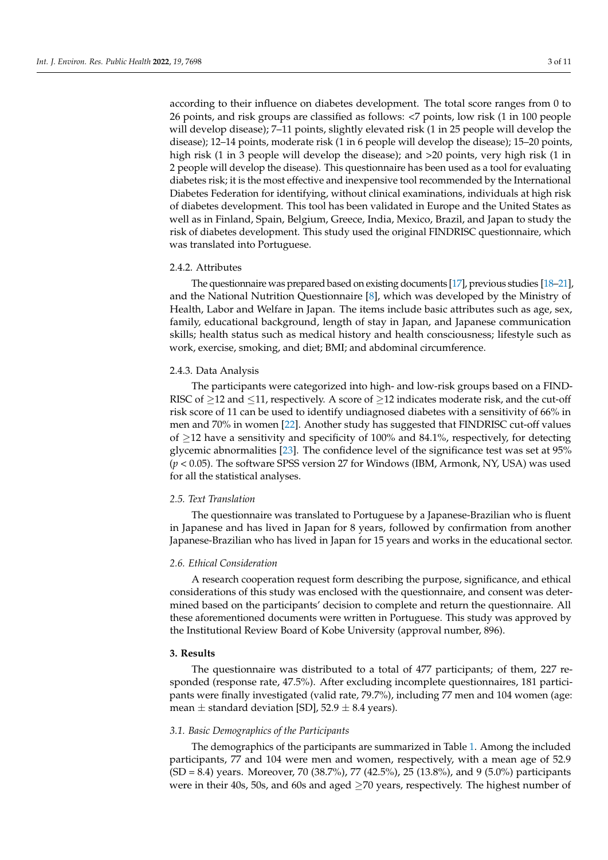according to their influence on diabetes development. The total score ranges from 0 to 26 points, and risk groups are classified as follows: <7 points, low risk (1 in 100 people will develop disease); 7–11 points, slightly elevated risk (1 in 25 people will develop the disease); 12–14 points, moderate risk (1 in 6 people will develop the disease); 15–20 points, high risk (1 in 3 people will develop the disease); and >20 points, very high risk (1 in 2 people will develop the disease). This questionnaire has been used as a tool for evaluating diabetes risk; it is the most effective and inexpensive tool recommended by the International Diabetes Federation for identifying, without clinical examinations, individuals at high risk of diabetes development. This tool has been validated in Europe and the United States as well as in Finland, Spain, Belgium, Greece, India, Mexico, Brazil, and Japan to study the risk of diabetes development. This study used the original FINDRISC questionnaire, which was translated into Portuguese.

#### 2.4.2. Attributes

The questionnaire was prepared based on existing documents [\[17\]](#page-10-4), previous studies [\[18](#page-10-5)[–21\]](#page-10-6), and the National Nutrition Questionnaire [\[8\]](#page-9-7), which was developed by the Ministry of Health, Labor and Welfare in Japan. The items include basic attributes such as age, sex, family, educational background, length of stay in Japan, and Japanese communication skills; health status such as medical history and health consciousness; lifestyle such as work, exercise, smoking, and diet; BMI; and abdominal circumference.

### 2.4.3. Data Analysis

The participants were categorized into high- and low-risk groups based on a FIND-RISC of  $\geq$ 12 and  $\leq$ 11, respectively. A score of  $\geq$ 12 indicates moderate risk, and the cut-off risk score of 11 can be used to identify undiagnosed diabetes with a sensitivity of 66% in men and 70% in women [\[22\]](#page-10-7). Another study has suggested that FINDRISC cut-off values of  $\geq$ 12 have a sensitivity and specificity of 100% and 84.1%, respectively, for detecting glycemic abnormalities [\[23\]](#page-10-8). The confidence level of the significance test was set at 95% (*p* < 0.05). The software SPSS version 27 for Windows (IBM, Armonk, NY, USA) was used for all the statistical analyses.

#### *2.5. Text Translation*

The questionnaire was translated to Portuguese by a Japanese-Brazilian who is fluent in Japanese and has lived in Japan for 8 years, followed by confirmation from another Japanese-Brazilian who has lived in Japan for 15 years and works in the educational sector.

#### *2.6. Ethical Consideration*

A research cooperation request form describing the purpose, significance, and ethical considerations of this study was enclosed with the questionnaire, and consent was determined based on the participants' decision to complete and return the questionnaire. All these aforementioned documents were written in Portuguese. This study was approved by the Institutional Review Board of Kobe University (approval number, 896).

## **3. Results**

The questionnaire was distributed to a total of 477 participants; of them, 227 responded (response rate, 47.5%). After excluding incomplete questionnaires, 181 participants were finally investigated (valid rate, 79.7%), including 77 men and 104 women (age: mean  $\pm$  standard deviation [SD], 52.9  $\pm$  8.4 years).

## *3.1. Basic Demographics of the Participants*

The demographics of the participants are summarized in Table [1.](#page-3-0) Among the included participants, 77 and 104 were men and women, respectively, with a mean age of 52.9 (SD = 8.4) years. Moreover, 70 (38.7%), 77 (42.5%), 25 (13.8%), and 9 (5.0%) participants were in their 40s, 50s, and 60s and aged  $\geq$  70 years, respectively. The highest number of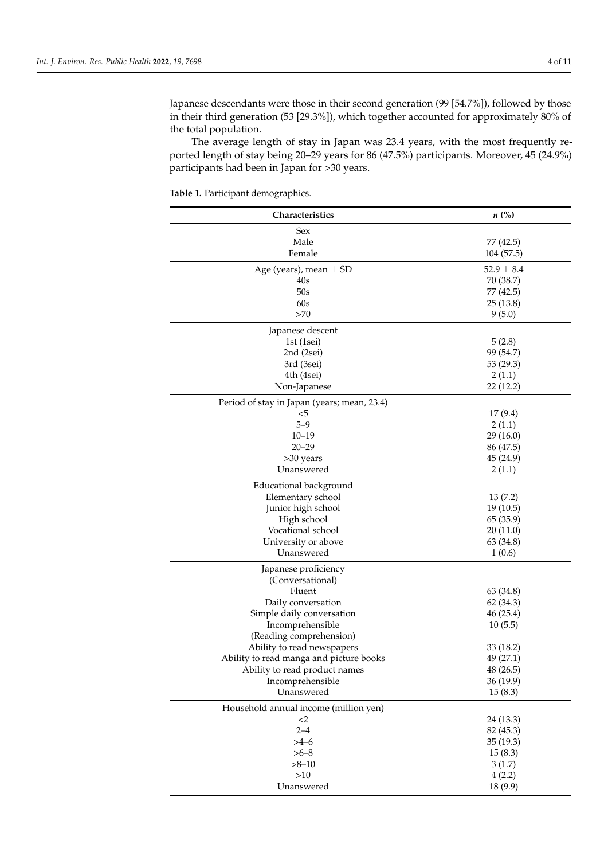Japanese descendants were those in their second generation (99 [54.7%]), followed by those in their third generation (53 [29.3%]), which together accounted for approximately 80% of the total population.

The average length of stay in Japan was 23.4 years, with the most frequently reported length of stay being 20–29 years for 86 (47.5%) participants. Moreover, 45 (24.9%) participants had been in Japan for >30 years.

<span id="page-3-0"></span>**Table 1.** Participant demographics.

| Characteristics                             | $n\ (\%)$      |
|---------------------------------------------|----------------|
| Sex                                         |                |
| Male                                        | 77 (42.5)      |
| Female                                      | 104 (57.5)     |
| Age (years), mean $\pm$ SD                  | $52.9 \pm 8.4$ |
| 40s                                         | 70 (38.7)      |
| 50s                                         | 77 (42.5)      |
| 60s                                         | 25(13.8)       |
| >70                                         | 9(5.0)         |
| Japanese descent                            |                |
| 1st $(1sei)$                                | 5(2.8)         |
| 2nd (2sei)                                  | 99 (54.7)      |
| 3rd (3sei)                                  | 53 (29.3)      |
| 4th (4sei)                                  | 2(1.1)         |
| Non-Japanese                                | 22 (12.2)      |
| Period of stay in Japan (years; mean, 23.4) |                |
| $5$                                         | 17(9.4)        |
| $5 - 9$                                     | 2(1.1)         |
| $10 - 19$                                   | 29 (16.0)      |
| $20 - 29$                                   | 86 (47.5)      |
| >30 years                                   | 45 (24.9)      |
| Unanswered                                  | 2(1.1)         |
| Educational background                      |                |
| Elementary school                           | 13(7.2)        |
| Junior high school                          | 19(10.5)       |
| High school                                 | 65 (35.9)      |
| Vocational school                           | 20(11.0)       |
| University or above                         | 63 (34.8)      |
| Unanswered                                  | 1(0.6)         |
| Japanese proficiency                        |                |
| (Conversational)                            |                |
| Fluent                                      | 63 (34.8)      |
| Daily conversation                          | 62 (34.3)      |
| Simple daily conversation                   | 46 (25.4)      |
| Incomprehensible                            | 10(5.5)        |
| (Reading comprehension)                     |                |
| Ability to read newspapers                  | 33 (18.2)      |
| Ability to read manga and picture books     | 49 (27.1)      |
| Ability to read product names               | 48 (26.5)      |
| Incomprehensible                            | 36 (19.9)      |
| Unanswered                                  | 15(8.3)        |
| Household annual income (million yen)       |                |
| $<$ 2                                       | 24 (13.3)      |
| $2 - 4$                                     | 82 (45.3)      |
| $>4-6$                                      | 35 (19.3)      |
| $>6 - 8$                                    | 15(8.3)        |
| $>8 - 10$                                   | 3(1.7)         |
| $>10$                                       | 4(2.2)         |
| Unanswered                                  | 18 (9.9)       |
|                                             |                |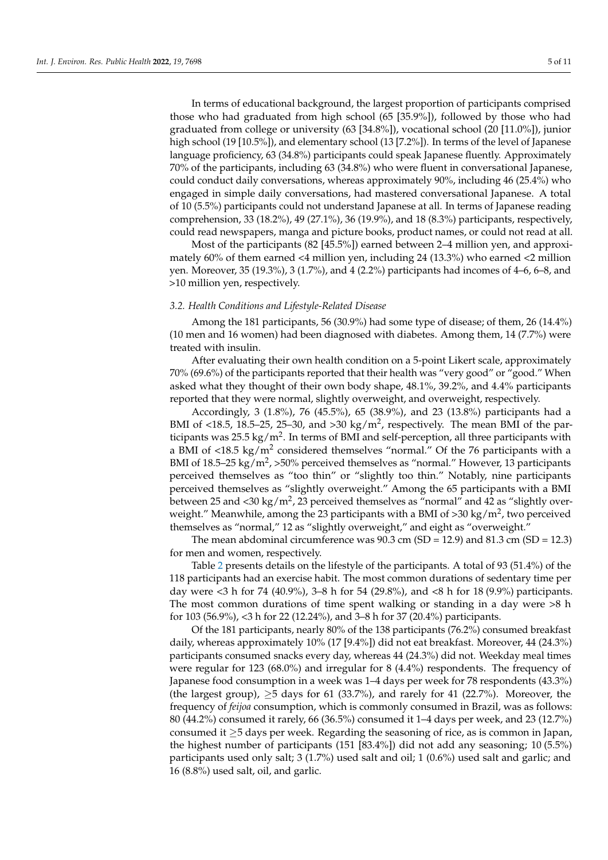In terms of educational background, the largest proportion of participants comprised those who had graduated from high school (65 [35.9%]), followed by those who had graduated from college or university (63 [34.8%]), vocational school (20 [11.0%]), junior high school (19 [10.5%]), and elementary school (13 [7.2%]). In terms of the level of Japanese language proficiency, 63 (34.8%) participants could speak Japanese fluently. Approximately 70% of the participants, including 63 (34.8%) who were fluent in conversational Japanese, could conduct daily conversations, whereas approximately 90%, including 46 (25.4%) who engaged in simple daily conversations, had mastered conversational Japanese. A total of 10 (5.5%) participants could not understand Japanese at all. In terms of Japanese reading comprehension, 33 (18.2%), 49 (27.1%), 36 (19.9%), and 18 (8.3%) participants, respectively, could read newspapers, manga and picture books, product names, or could not read at all.

Most of the participants (82 [45.5%]) earned between 2–4 million yen, and approximately 60% of them earned <4 million yen, including 24 (13.3%) who earned <2 million yen. Moreover, 35 (19.3%), 3 (1.7%), and 4 (2.2%) participants had incomes of 4–6, 6–8, and >10 million yen, respectively.

## *3.2. Health Conditions and Lifestyle-Related Disease*

Among the 181 participants, 56 (30.9%) had some type of disease; of them, 26 (14.4%) (10 men and 16 women) had been diagnosed with diabetes. Among them, 14 (7.7%) were treated with insulin.

After evaluating their own health condition on a 5-point Likert scale, approximately 70% (69.6%) of the participants reported that their health was "very good" or "good." When asked what they thought of their own body shape, 48.1%, 39.2%, and 4.4% participants reported that they were normal, slightly overweight, and overweight, respectively.

Accordingly, 3 (1.8%), 76 (45.5%), 65 (38.9%), and 23 (13.8%) participants had a BMI of <18.5, 18.5–25, 25–30, and >30 kg/m<sup>2</sup>, respectively. The mean BMI of the participants was 25.5 kg/m<sup>2</sup>. In terms of BMI and self-perception, all three participants with a BMI of <18.5 kg/m<sup>2</sup> considered themselves "normal." Of the 76 participants with a BMI of 18.5–25 kg/m<sup>2</sup>, >50% perceived themselves as "normal." However, 13 participants perceived themselves as "too thin" or "slightly too thin." Notably, nine participants perceived themselves as "slightly overweight." Among the 65 participants with a BMI between 25 and <30 kg/m $^2$ , 23 perceived themselves as "normal" and 42 as "slightly overweight." Meanwhile, among the 23 participants with a BMI of >30 kg/m $^2$ , two perceived themselves as "normal," 12 as "slightly overweight," and eight as "overweight."

The mean abdominal circumference was 90.3 cm (SD = 12.9) and 81.3 cm (SD = 12.3) for men and women, respectively.

Table [2](#page-5-0) presents details on the lifestyle of the participants. A total of 93 (51.4%) of the 118 participants had an exercise habit. The most common durations of sedentary time per day were <3 h for 74 (40.9%), 3–8 h for 54 (29.8%), and <8 h for 18 (9.9%) participants. The most common durations of time spent walking or standing in a day were >8 h for 103 (56.9%), <3 h for 22 (12.24%), and 3–8 h for 37 (20.4%) participants.

Of the 181 participants, nearly 80% of the 138 participants (76.2%) consumed breakfast daily, whereas approximately 10% (17 [9.4%]) did not eat breakfast. Moreover, 44 (24.3%) participants consumed snacks every day, whereas 44 (24.3%) did not. Weekday meal times were regular for 123 (68.0%) and irregular for 8 (4.4%) respondents. The frequency of Japanese food consumption in a week was 1–4 days per week for 78 respondents (43.3%) (the largest group),  $\geq$  5 days for 61 (33.7%), and rarely for 41 (22.7%). Moreover, the frequency of *feijoa* consumption, which is commonly consumed in Brazil, was as follows: 80 (44.2%) consumed it rarely, 66 (36.5%) consumed it 1–4 days per week, and 23 (12.7%) consumed it  $\geq$ 5 days per week. Regarding the seasoning of rice, as is common in Japan, the highest number of participants (151 [83.4%]) did not add any seasoning; 10 (5.5%) participants used only salt; 3 (1.7%) used salt and oil; 1 (0.6%) used salt and garlic; and 16 (8.8%) used salt, oil, and garlic.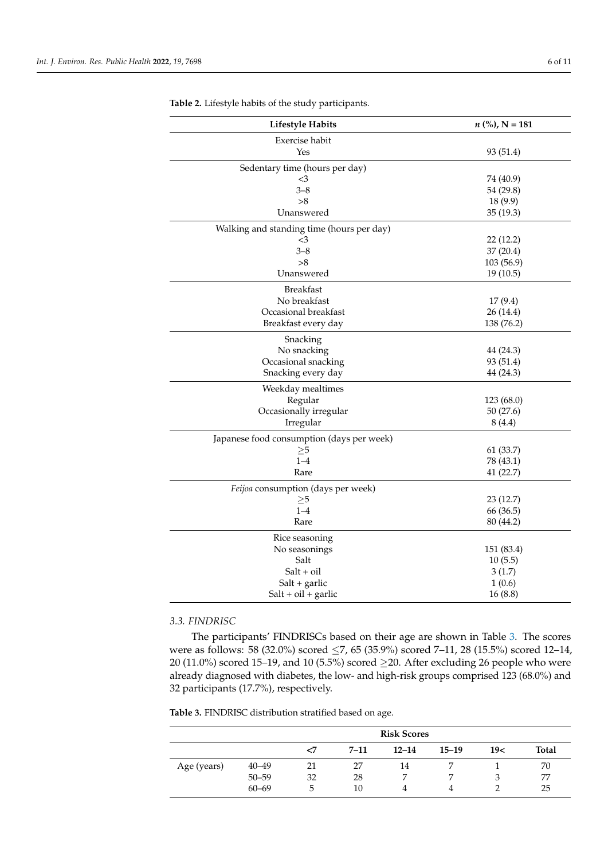| <b>Lifestyle Habits</b>                   | $n$ (%), N = 181 |
|-------------------------------------------|------------------|
| Exercise habit                            |                  |
| Yes                                       | 93 (51.4)        |
| Sedentary time (hours per day)            |                  |
| $\leq$ 3                                  | 74 (40.9)        |
| $3 - 8$                                   | 54 (29.8)        |
| >8                                        | 18 (9.9)         |
| Unanswered                                | 35 (19.3)        |
| Walking and standing time (hours per day) |                  |
| $\leq$ 3                                  | 22(12.2)         |
| $3 - 8$                                   | 37 (20.4)        |
| >8                                        | 103 (56.9)       |
| Unanswered                                | 19(10.5)         |
| <b>Breakfast</b>                          |                  |
| No breakfast                              | 17(9.4)          |
| Occasional breakfast                      | 26 (14.4)        |
| Breakfast every day                       | 138 (76.2)       |
| Snacking                                  |                  |
| No snacking                               | 44 (24.3)        |
| Occasional snacking                       | 93 (51.4)        |
| Snacking every day                        | 44 (24.3)        |
| Weekday mealtimes                         |                  |
| Regular                                   | 123(68.0)        |
| Occasionally irregular                    | 50(27.6)         |
| Irregular                                 | 8(4.4)           |
| Japanese food consumption (days per week) |                  |
| $\geq 5$                                  | 61 (33.7)        |
| $1 - 4$                                   | 78 (43.1)        |
| Rare                                      | 41 (22.7)        |
| Feijoa consumption (days per week)        |                  |
| $\geq$ 5                                  | 23 (12.7)        |
| $1 - 4$                                   | 66 (36.5)        |
| Rare                                      | 80 (44.2)        |
| Rice seasoning                            |                  |
| No seasonings                             | 151 (83.4)       |
| Salt                                      | 10(5.5)          |
| $Salt + oil$                              | 3(1.7)           |
| Salt + garlic                             | 1(0.6)           |
| Salt + oil + garlic                       | 16(8.8)          |

<span id="page-5-0"></span>**Table 2.** Lifestyle habits of the study participants.

## *3.3. FINDRISC*

The participants' FINDRISCs based on their age are shown in Table [3.](#page-6-0) The scores were as follows: 58 (32.0%) scored ≤7, 65 (35.9%) scored 7–11, 28 (15.5%) scored 12–14, 20 (11.0%) scored 15–19, and 10 (5.5%) scored  $\geq$ 20. After excluding 26 people who were already diagnosed with diabetes, the low- and high-risk groups comprised 123 (68.0%) and 32 participants (17.7%), respectively.

**Table 3.** FINDRISC distribution stratified based on age.

|             |           | <b>Risk Scores</b> |          |           |           |     |              |
|-------------|-----------|--------------------|----------|-----------|-----------|-----|--------------|
|             |           | $<$ 7              | $7 - 11$ | $12 - 14$ | $15 - 19$ | 19< | <b>Total</b> |
| Age (years) | $40 - 49$ | 21                 | 27       | 14        |           |     | 70           |
|             | $50 - 59$ | 32                 | 28       | ⇁         | ∍         |     | 77           |
|             | $60 - 69$ | 5                  | 10       |           |           |     | 25           |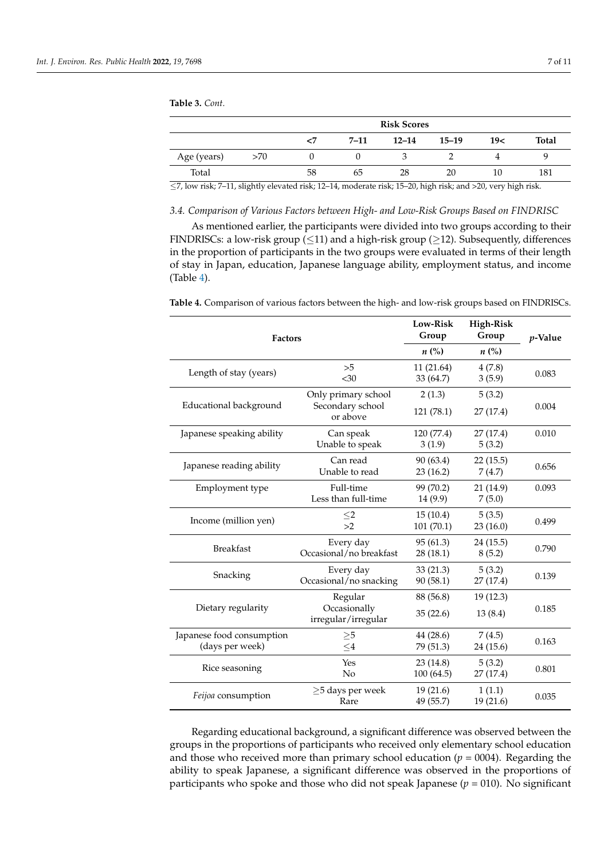## <span id="page-6-0"></span>**Table 3.** *Cont.*

|             |     | <b>Risk Scores</b> |      |           |           |     |       |
|-------------|-----|--------------------|------|-----------|-----------|-----|-------|
|             |     | <7                 | 7–11 | $12 - 14$ | $15 - 19$ | 19< | Total |
| Age (years) | >70 |                    |      |           |           |     |       |
| Total       |     | 58                 | 65   | 28        | 20        | 10  | 181   |

≤7, low risk; 7–11, slightly elevated risk; 12–14, moderate risk; 15–20, high risk; and >20, very high risk.

## *3.4. Comparison of Various Factors between High- and Low-Risk Groups Based on FINDRISC*

As mentioned earlier, the participants were divided into two groups according to their FINDRISCs: a low-risk group ( $\leq$ 11) and a high-risk group ( $\geq$ 12). Subsequently, differences in the proportion of participants in the two groups were evaluated in terms of their length of stay in Japan, education, Japanese language ability, employment status, and income (Table [4\)](#page-6-1).

| <b>Factors</b>                               | Low-Risk<br>Group                                   | <b>High-Risk</b><br>Group                   | <i>p</i> -Value      |       |
|----------------------------------------------|-----------------------------------------------------|---------------------------------------------|----------------------|-------|
|                                              | $n\ (\%)$                                           | $n\ (\%)$                                   |                      |       |
| Length of stay (years)                       | >5<br>&50                                           | 11 (21.64)<br>33 (64.7)                     | 4(7.8)<br>3(5.9)     | 0.083 |
| Educational background                       | Only primary school<br>Secondary school<br>or above | 2(1.3)<br>121(78.1)                         | 5(3.2)<br>27 (17.4)  | 0.004 |
| Japanese speaking ability                    | Can speak<br>Unable to speak                        | 120 (77.4)<br>3(1.9)                        | 27(17.4)<br>5(3.2)   | 0.010 |
| Japanese reading ability                     | Can read<br>Unable to read                          | 90 (63.4)<br>23(16.2)                       | 22(15.5)<br>7(4.7)   | 0.656 |
| Employment type                              | Full-time<br>Less than full-time                    | 99 (70.2)<br>14 (9.9)                       | 21 (14.9)<br>7(5.0)  | 0.093 |
| Income (million yen)                         | ${\leq}2$<br>>2                                     | 15(10.4)<br>5(3.5)<br>101(70.1)<br>23(16.0) |                      | 0.499 |
| <b>Breakfast</b>                             | Every day<br>Occasional/no breakfast                | 95 (61.3)<br>28(18.1)                       | 24 (15.5)<br>8(5.2)  | 0.790 |
| Snacking                                     | Every day<br>Occasional/no snacking                 | 33(21.3)<br>90(58.1)                        | 5(3.2)<br>27 (17.4)  | 0.139 |
| Dietary regularity                           | Regular<br>Occasionally<br>irregular/irregular      | 88 (56.8)<br>35(22.6)                       | 19 (12.3)<br>13(8.4) | 0.185 |
| Japanese food consumption<br>(days per week) | $\geq 5$<br>$\leq$ 4                                | 44 (28.6)<br>79 (51.3)                      | 7(4.5)<br>24 (15.6)  | 0.163 |
| Yes<br>Rice seasoning<br>No                  |                                                     | 23(14.8)<br>100(64.5)                       | 5(3.2)<br>27 (17.4)  | 0.801 |
| Feijoa consumption                           | $\geq$ 5 days per week<br>Rare                      | 19(21.6)<br>49 (55.7)                       | 1(1.1)<br>19(21.6)   | 0.035 |

<span id="page-6-1"></span>**Table 4.** Comparison of various factors between the high- and low-risk groups based on FINDRISCs.

Regarding educational background, a significant difference was observed between the groups in the proportions of participants who received only elementary school education and those who received more than primary school education  $(p = 0004)$ . Regarding the ability to speak Japanese, a significant difference was observed in the proportions of participants who spoke and those who did not speak Japanese ( $p = 010$ ). No significant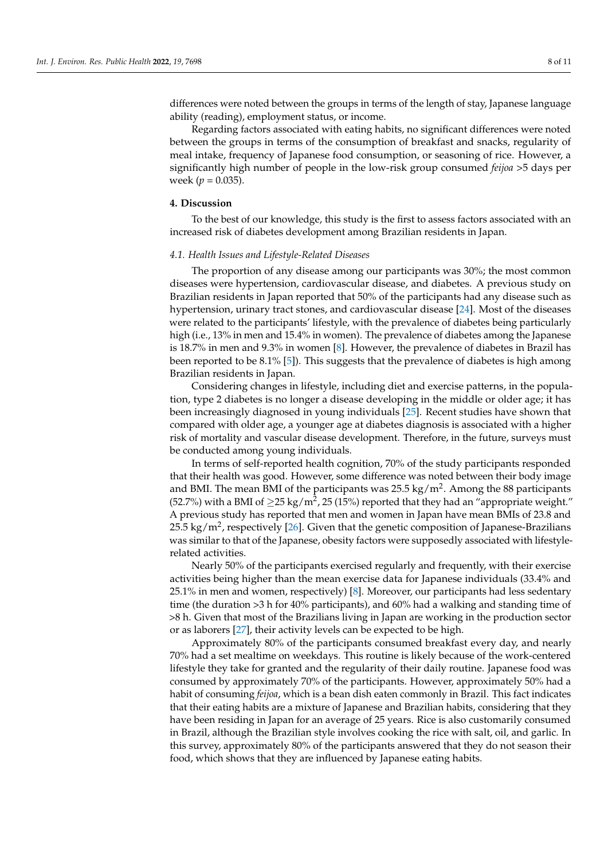differences were noted between the groups in terms of the length of stay, Japanese language ability (reading), employment status, or income.

Regarding factors associated with eating habits, no significant differences were noted between the groups in terms of the consumption of breakfast and snacks, regularity of meal intake, frequency of Japanese food consumption, or seasoning of rice. However, a significantly high number of people in the low-risk group consumed *feijoa* >5 days per week ( $p = 0.035$ ).

#### **4. Discussion**

To the best of our knowledge, this study is the first to assess factors associated with an increased risk of diabetes development among Brazilian residents in Japan.

#### *4.1. Health Issues and Lifestyle-Related Diseases*

The proportion of any disease among our participants was 30%; the most common diseases were hypertension, cardiovascular disease, and diabetes. A previous study on Brazilian residents in Japan reported that 50% of the participants had any disease such as hypertension, urinary tract stones, and cardiovascular disease [\[24\]](#page-10-9). Most of the diseases were related to the participants' lifestyle, with the prevalence of diabetes being particularly high (i.e., 13% in men and 15.4% in women). The prevalence of diabetes among the Japanese is 18.7% in men and 9.3% in women [\[8\]](#page-9-7). However, the prevalence of diabetes in Brazil has been reported to be 8.1% [\[5\]](#page-9-4)). This suggests that the prevalence of diabetes is high among Brazilian residents in Japan.

Considering changes in lifestyle, including diet and exercise patterns, in the population, type 2 diabetes is no longer a disease developing in the middle or older age; it has been increasingly diagnosed in young individuals [\[25\]](#page-10-10). Recent studies have shown that compared with older age, a younger age at diabetes diagnosis is associated with a higher risk of mortality and vascular disease development. Therefore, in the future, surveys must be conducted among young individuals.

In terms of self-reported health cognition, 70% of the study participants responded that their health was good. However, some difference was noted between their body image and BMI. The mean BMI of the participants was 25.5 kg/m<sup>2</sup>. Among the 88 participants (52.7%) with a BMI of  $\geq$ 25 kg/m<sup>2</sup>, 25 (15%) reported that they had an "appropriate weight." A previous study has reported that men and women in Japan have mean BMIs of 23.8 and 25.5 kg/m<sup>2</sup>, respectively [\[26\]](#page-10-11). Given that the genetic composition of Japanese-Brazilians was similar to that of the Japanese, obesity factors were supposedly associated with lifestylerelated activities.

Nearly 50% of the participants exercised regularly and frequently, with their exercise activities being higher than the mean exercise data for Japanese individuals (33.4% and 25.1% in men and women, respectively) [\[8\]](#page-9-7). Moreover, our participants had less sedentary time (the duration >3 h for 40% participants), and 60% had a walking and standing time of >8 h. Given that most of the Brazilians living in Japan are working in the production sector or as laborers [\[27\]](#page-10-12), their activity levels can be expected to be high.

Approximately 80% of the participants consumed breakfast every day, and nearly 70% had a set mealtime on weekdays. This routine is likely because of the work-centered lifestyle they take for granted and the regularity of their daily routine. Japanese food was consumed by approximately 70% of the participants. However, approximately 50% had a habit of consuming *feijoa*, which is a bean dish eaten commonly in Brazil. This fact indicates that their eating habits are a mixture of Japanese and Brazilian habits, considering that they have been residing in Japan for an average of 25 years. Rice is also customarily consumed in Brazil, although the Brazilian style involves cooking the rice with salt, oil, and garlic. In this survey, approximately 80% of the participants answered that they do not season their food, which shows that they are influenced by Japanese eating habits.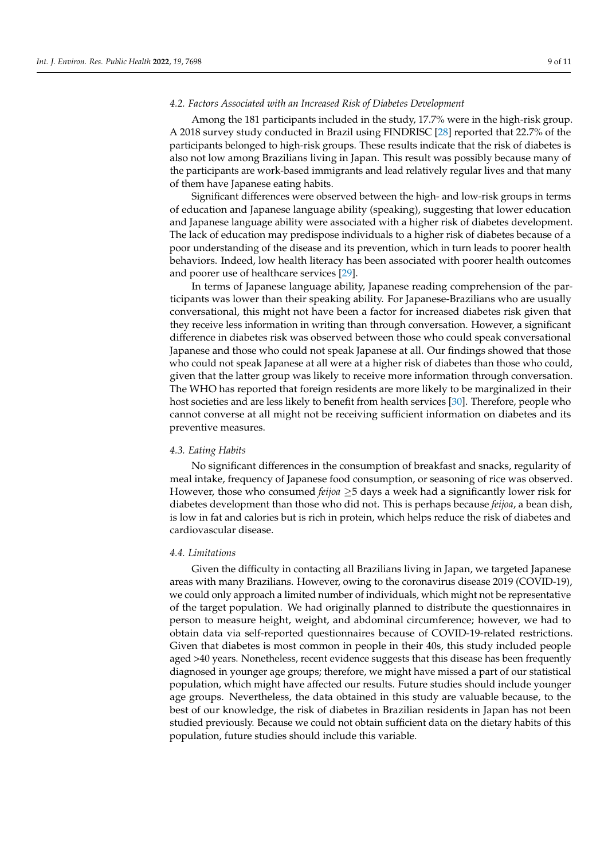Among the 181 participants included in the study, 17.7% were in the high-risk group. A 2018 survey study conducted in Brazil using FINDRISC [\[28\]](#page-10-13) reported that 22.7% of the participants belonged to high-risk groups. These results indicate that the risk of diabetes is also not low among Brazilians living in Japan. This result was possibly because many of the participants are work-based immigrants and lead relatively regular lives and that many of them have Japanese eating habits.

Significant differences were observed between the high- and low-risk groups in terms of education and Japanese language ability (speaking), suggesting that lower education and Japanese language ability were associated with a higher risk of diabetes development. The lack of education may predispose individuals to a higher risk of diabetes because of a poor understanding of the disease and its prevention, which in turn leads to poorer health behaviors. Indeed, low health literacy has been associated with poorer health outcomes and poorer use of healthcare services [\[29\]](#page-10-14).

In terms of Japanese language ability, Japanese reading comprehension of the participants was lower than their speaking ability. For Japanese-Brazilians who are usually conversational, this might not have been a factor for increased diabetes risk given that they receive less information in writing than through conversation. However, a significant difference in diabetes risk was observed between those who could speak conversational Japanese and those who could not speak Japanese at all. Our findings showed that those who could not speak Japanese at all were at a higher risk of diabetes than those who could, given that the latter group was likely to receive more information through conversation. The WHO has reported that foreign residents are more likely to be marginalized in their host societies and are less likely to benefit from health services [\[30\]](#page-10-15). Therefore, people who cannot converse at all might not be receiving sufficient information on diabetes and its preventive measures.

#### *4.3. Eating Habits*

No significant differences in the consumption of breakfast and snacks, regularity of meal intake, frequency of Japanese food consumption, or seasoning of rice was observed. However, those who consumed *feijoa* ≥5 days a week had a significantly lower risk for diabetes development than those who did not. This is perhaps because *feijoa*, a bean dish, is low in fat and calories but is rich in protein, which helps reduce the risk of diabetes and cardiovascular disease.

#### *4.4. Limitations*

Given the difficulty in contacting all Brazilians living in Japan, we targeted Japanese areas with many Brazilians. However, owing to the coronavirus disease 2019 (COVID-19), we could only approach a limited number of individuals, which might not be representative of the target population. We had originally planned to distribute the questionnaires in person to measure height, weight, and abdominal circumference; however, we had to obtain data via self-reported questionnaires because of COVID-19-related restrictions. Given that diabetes is most common in people in their 40s, this study included people aged >40 years. Nonetheless, recent evidence suggests that this disease has been frequently diagnosed in younger age groups; therefore, we might have missed a part of our statistical population, which might have affected our results. Future studies should include younger age groups. Nevertheless, the data obtained in this study are valuable because, to the best of our knowledge, the risk of diabetes in Brazilian residents in Japan has not been studied previously. Because we could not obtain sufficient data on the dietary habits of this population, future studies should include this variable.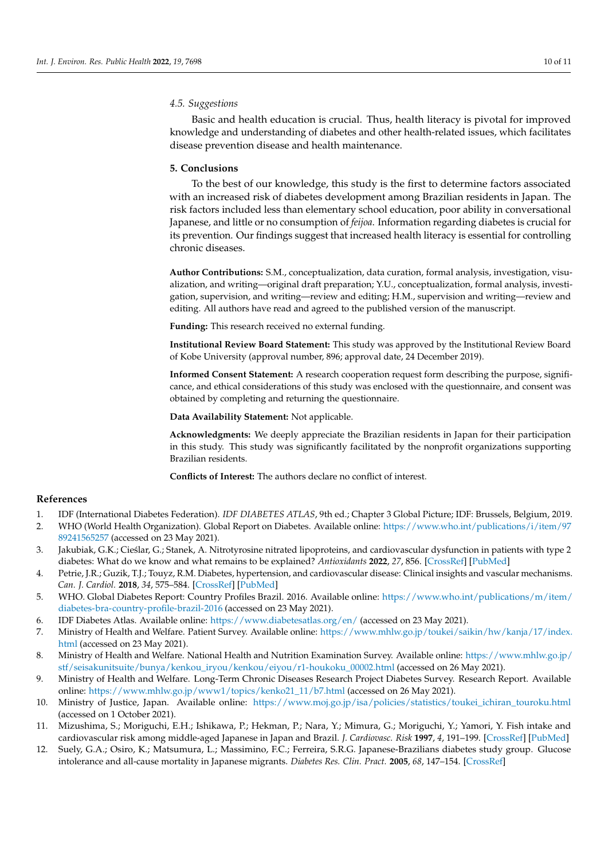## *4.5. Suggestions*

Basic and health education is crucial. Thus, health literacy is pivotal for improved knowledge and understanding of diabetes and other health-related issues, which facilitates disease prevention disease and health maintenance.

## **5. Conclusions**

To the best of our knowledge, this study is the first to determine factors associated with an increased risk of diabetes development among Brazilian residents in Japan. The risk factors included less than elementary school education, poor ability in conversational Japanese, and little or no consumption of *feijoa*. Information regarding diabetes is crucial for its prevention. Our findings suggest that increased health literacy is essential for controlling chronic diseases.

**Author Contributions:** S.M., conceptualization, data curation, formal analysis, investigation, visualization, and writing—original draft preparation; Y.U., conceptualization, formal analysis, investigation, supervision, and writing—review and editing; H.M., supervision and writing—review and editing. All authors have read and agreed to the published version of the manuscript.

**Funding:** This research received no external funding.

**Institutional Review Board Statement:** This study was approved by the Institutional Review Board of Kobe University (approval number, 896; approval date, 24 December 2019).

**Informed Consent Statement:** A research cooperation request form describing the purpose, significance, and ethical considerations of this study was enclosed with the questionnaire, and consent was obtained by completing and returning the questionnaire.

**Data Availability Statement:** Not applicable.

**Acknowledgments:** We deeply appreciate the Brazilian residents in Japan for their participation in this study. This study was significantly facilitated by the nonprofit organizations supporting Brazilian residents.

**Conflicts of Interest:** The authors declare no conflict of interest.

## **References**

- <span id="page-9-0"></span>1. IDF (International Diabetes Federation). *IDF DIABETES ATLAS*, 9th ed.; Chapter 3 Global Picture; IDF: Brussels, Belgium, 2019.
- <span id="page-9-1"></span>2. WHO (World Health Organization). Global Report on Diabetes. Available online: [https://www.who.int/publications/i/item/97](https://www.who.int/publications/i/item/9789241565257) [89241565257](https://www.who.int/publications/i/item/9789241565257) (accessed on 23 May 2021).
- <span id="page-9-2"></span>3. Jakubiak, G.K.; Cieślar, G.; Stanek, A. Nitrotyrosine nitrated lipoproteins, and cardiovascular dysfunction in patients with type 2 diabetes: What do we know and what remains to be explained? *Antioxidants* **2022**, *27*, 856. [\[CrossRef\]](http://doi.org/10.3390/antiox11050856) [\[PubMed\]](http://www.ncbi.nlm.nih.gov/pubmed/35624720)
- <span id="page-9-3"></span>4. Petrie, J.R.; Guzik, T.J.; Touyz, R.M. Diabetes, hypertension, and cardiovascular disease: Clinical insights and vascular mechanisms. *Can. J. Cardiol.* **2018**, *34*, 575–584. [\[CrossRef\]](http://doi.org/10.1016/j.cjca.2017.12.005) [\[PubMed\]](http://www.ncbi.nlm.nih.gov/pubmed/29459239)
- <span id="page-9-4"></span>5. WHO. Global Diabetes Report: Country Profiles Brazil. 2016. Available online: [https://www.who.int/publications/m/item/](https://www.who.int/publications/m/item/diabetes-bra-country-profile-brazil-2016) [diabetes-bra-country-profile-brazil-2016](https://www.who.int/publications/m/item/diabetes-bra-country-profile-brazil-2016) (accessed on 23 May 2021).
- <span id="page-9-5"></span>6. IDF Diabetes Atlas. Available online: <https://www.diabetesatlas.org/en/> (accessed on 23 May 2021).
- <span id="page-9-6"></span>7. Ministry of Health and Welfare. Patient Survey. Available online: [https://www.mhlw.go.jp/toukei/saikin/hw/kanja/17/index.](https://www.mhlw.go.jp/toukei/saikin/hw/kanja/17/index.html) [html](https://www.mhlw.go.jp/toukei/saikin/hw/kanja/17/index.html) (accessed on 23 May 2021).
- <span id="page-9-7"></span>8. Ministry of Health and Welfare. National Health and Nutrition Examination Survey. Available online: [https://www.mhlw.go.jp/](https://www.mhlw.go.jp/stf/seisakunitsuite/bunya/kenkou_iryou/kenkou/eiyou/r1-houkoku_00002.html) [stf/seisakunitsuite/bunya/kenkou\\_iryou/kenkou/eiyou/r1-houkoku\\_00002.html](https://www.mhlw.go.jp/stf/seisakunitsuite/bunya/kenkou_iryou/kenkou/eiyou/r1-houkoku_00002.html) (accessed on 26 May 2021).
- <span id="page-9-8"></span>9. Ministry of Health and Welfare. Long-Term Chronic Diseases Research Project Diabetes Survey. Research Report. Available online: [https://www.mhlw.go.jp/www1/topics/kenko21\\_11/b7.html](https://www.mhlw.go.jp/www1/topics/kenko21_11/b7.html) (accessed on 26 May 2021).
- <span id="page-9-9"></span>10. Ministry of Justice, Japan. Available online: [https://www.moj.go.jp/isa/policies/statistics/toukei\\_ichiran\\_touroku.html](https://www.moj.go.jp/isa/policies/statistics/toukei_ichiran_touroku.html) (accessed on 1 October 2021).
- <span id="page-9-10"></span>11. Mizushima, S.; Moriguchi, E.H.; Ishikawa, P.; Hekman, P.; Nara, Y.; Mimura, G.; Moriguchi, Y.; Yamori, Y. Fish intake and cardiovascular risk among middle-aged Japanese in Japan and Brazil. *J. Cardiovasc. Risk* **1997**, *4*, 191–199. [\[CrossRef\]](http://doi.org/10.1097/00043798-199706000-00006) [\[PubMed\]](http://www.ncbi.nlm.nih.gov/pubmed/9475674)
- <span id="page-9-11"></span>12. Suely, G.A.; Osiro, K.; Matsumura, L.; Massimino, F.C.; Ferreira, S.R.G. Japanese-Brazilians diabetes study group. Glucose intolerance and all-cause mortality in Japanese migrants. *Diabetes Res. Clin. Pract.* **2005**, *68*, 147–154. [\[CrossRef\]](http://doi.org/10.1016/j.diabres.2004.09.006)